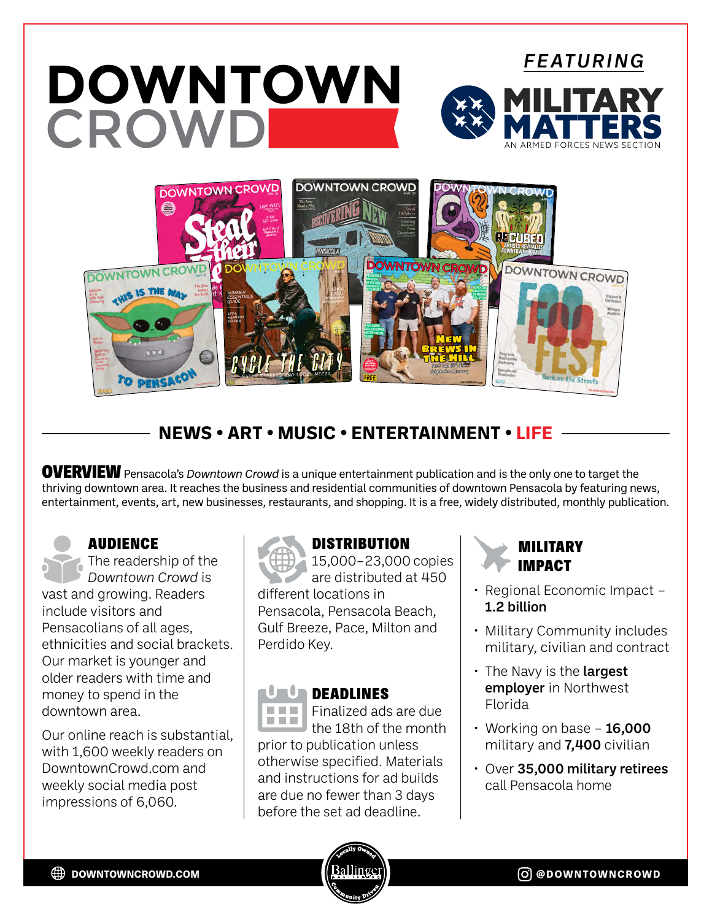# *FEATURING* DOWNTOWN CROWD **DOWNTOWN CROWD DOWNTOWN CROWD** ⊜ **OWNTOWN CR** DOWNTOWN CROWD

## **NEWS • ART • MUSIC • ENTERTAINMENT • LIFE**

OVERVIEWPensacola's *Downtown Crowd* is a unique entertainment publication and is the only one to target the thriving downtown area. It reaches the business and residential communities of downtown Pensacola by featuring news, entertainment, events, art, new businesses, restaurants, and shopping. It is a free, widely distributed, monthly publication.

AUDIENCE

The readership of the *Downtown Crowd* is vast and growing. Readers include visitors and Pensacolians of all ages, ethnicities and social brackets. Our market is younger and older readers with time and money to spend in the downtown area.

Our online reach is substantial, with 1,600 weekly readers on DowntownCrowd.com and weekly social media post impressions of 6,060.



### **DISTRIBUTION**

15,000–23,000 copies are distributed at 450 different locations in Pensacola, Pensacola Beach, Gulf Breeze, Pace, Milton and Perdido Key.

#### **URLE DEADLINES**

Finalized ads are due **COLOR THE H** the 18th of the month prior to publication unless otherwise specified. Materials and instructions for ad builds are due no fewer than 3 days before the set ad deadline.



- Regional Economic Impact 1.2 billion
- Military Community includes military, civilian and contract
- $\cdot$  The Navy is the **largest** employer in Northwest Florida
- $\cdot$  Working on base 16,000 military and 7,400 civilian
- Over 35,000 military retirees call Pensacola home